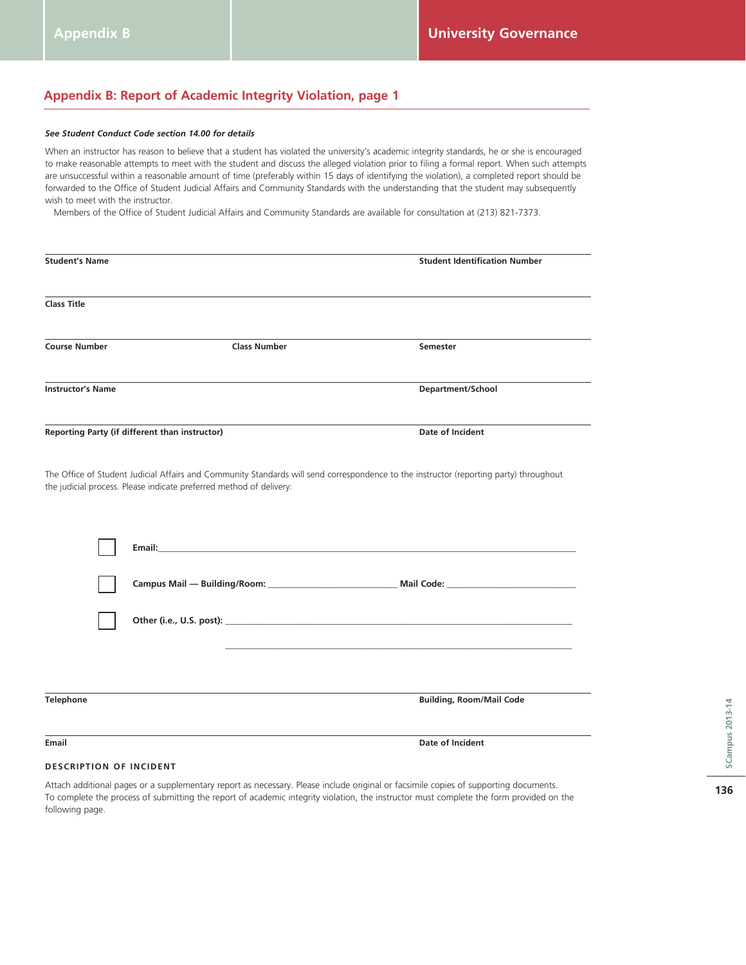# **Appendix B: Report of Academic Integrity Violation, page 1**

#### *See Student Conduct Code section 14.00 for details*

When an instructor has reason to believe that a student has violated the university's academic integrity standards, he or she is encouraged to make reasonable attempts to meet with the student and discuss the alleged violation prior to filing a formal report. When such attempts are unsuccessful within a reasonable amount of time (preferably within 15 days of identifying the violation), a completed report should be forwarded to the Office of Student Judicial Affairs and Community Standards with the understanding that the student may subsequently wish to meet with the instructor.

Members of the Office of Student Judicial Affairs and Community Standards are available for consultation at (213) 821-7373.

| <b>Student's Name</b>    |                                                                     | <b>Student Identification Number</b>                                                                                                   |  |  |
|--------------------------|---------------------------------------------------------------------|----------------------------------------------------------------------------------------------------------------------------------------|--|--|
| <b>Class Title</b>       |                                                                     |                                                                                                                                        |  |  |
| <b>Course Number</b>     | <b>Class Number</b>                                                 | Semester                                                                                                                               |  |  |
| <b>Instructor's Name</b> |                                                                     | Department/School                                                                                                                      |  |  |
|                          | Reporting Party (if different than instructor)                      | Date of Incident                                                                                                                       |  |  |
|                          | the judicial process. Please indicate preferred method of delivery: | The Office of Student Judicial Affairs and Community Standards will send correspondence to the instructor (reporting party) throughout |  |  |
|                          |                                                                     |                                                                                                                                        |  |  |
|                          |                                                                     |                                                                                                                                        |  |  |
|                          |                                                                     |                                                                                                                                        |  |  |
| <b>Telephone</b>         |                                                                     | <b>Building, Room/Mail Code</b>                                                                                                        |  |  |
| <b>Email</b>             |                                                                     | Date of Incident                                                                                                                       |  |  |

#### **DESCRIPTION OF INCIDENT**

Attach additional pages or a supplementary report as necessary. Please include original or facsimile copies of supporting documents. To complete the process of submitting the report of academic integrity violation, the instructor must complete the form provided on the following page.

**136**